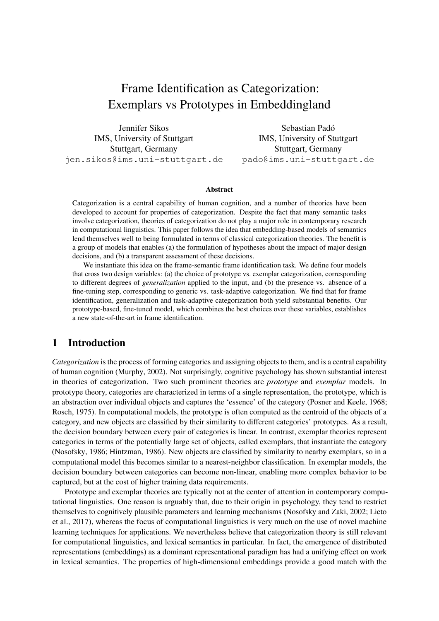# Frame Identification as Categorization: Exemplars vs Prototypes in Embeddingland

Jennifer Sikos IMS, University of Stuttgart Stuttgart, Germany jen.sikos@ims.uni-stuttgart.de

Sebastian Padó IMS, University of Stuttgart Stuttgart, Germany pado@ims.uni-stuttgart.de

#### Abstract

Categorization is a central capability of human cognition, and a number of theories have been developed to account for properties of categorization. Despite the fact that many semantic tasks involve categorization, theories of categorization do not play a major role in contemporary research in computational linguistics. This paper follows the idea that embedding-based models of semantics lend themselves well to being formulated in terms of classical categorization theories. The benefit is a group of models that enables (a) the formulation of hypotheses about the impact of major design decisions, and (b) a transparent assessment of these decisions.

We instantiate this idea on the frame-semantic frame identification task. We define four models that cross two design variables: (a) the choice of prototype vs. exemplar categorization, corresponding to different degrees of *generalization* applied to the input, and (b) the presence vs. absence of a fine-tuning step, corresponding to generic vs. task-adaptive categorization. We find that for frame identification, generalization and task-adaptive categorization both yield substantial benefits. Our prototype-based, fine-tuned model, which combines the best choices over these variables, establishes a new state-of-the-art in frame identification.

# 1 Introduction

*Categorization* is the process of forming categories and assigning objects to them, and is a central capability of human cognition (Murphy, 2002). Not surprisingly, cognitive psychology has shown substantial interest in theories of categorization. Two such prominent theories are *prototype* and *exemplar* models. In prototype theory, categories are characterized in terms of a single representation, the prototype, which is an abstraction over individual objects and captures the 'essence' of the category (Posner and Keele, 1968; Rosch, 1975). In computational models, the prototype is often computed as the centroid of the objects of a category, and new objects are classified by their similarity to different categories' prototypes. As a result, the decision boundary between every pair of categories is linear. In contrast, exemplar theories represent categories in terms of the potentially large set of objects, called exemplars, that instantiate the category (Nosofsky, 1986; Hintzman, 1986). New objects are classified by similarity to nearby exemplars, so in a computational model this becomes similar to a nearest-neighbor classification. In exemplar models, the decision boundary between categories can become non-linear, enabling more complex behavior to be captured, but at the cost of higher training data requirements.

Prototype and exemplar theories are typically not at the center of attention in contemporary computational linguistics. One reason is arguably that, due to their origin in psychology, they tend to restrict themselves to cognitively plausible parameters and learning mechanisms (Nosofsky and Zaki, 2002; Lieto et al., 2017), whereas the focus of computational linguistics is very much on the use of novel machine learning techniques for applications. We nevertheless believe that categorization theory is still relevant for computational linguistics, and lexical semantics in particular. In fact, the emergence of distributed representations (embeddings) as a dominant representational paradigm has had a unifying effect on work in lexical semantics. The properties of high-dimensional embeddings provide a good match with the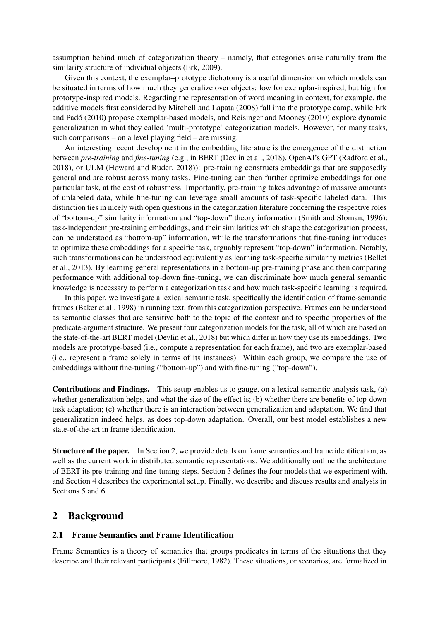assumption behind much of categorization theory – namely, that categories arise naturally from the similarity structure of individual objects (Erk, 2009).

Given this context, the exemplar–prototype dichotomy is a useful dimension on which models can be situated in terms of how much they generalize over objects: low for exemplar-inspired, but high for prototype-inspired models. Regarding the representation of word meaning in context, for example, the additive models first considered by Mitchell and Lapata (2008) fall into the prototype camp, while Erk and Pado (2010) propose exemplar-based models, and Reisinger and Mooney (2010) explore dynamic ´ generalization in what they called 'multi-prototype' categorization models. However, for many tasks, such comparisons – on a level playing field – are missing.

An interesting recent development in the embedding literature is the emergence of the distinction between *pre-training* and *fine-tuning* (e.g., in BERT (Devlin et al., 2018), OpenAI's GPT (Radford et al., 2018), or ULM (Howard and Ruder, 2018)): pre-training constructs embeddings that are supposedly general and are robust across many tasks. Fine-tuning can then further optimize embeddings for one particular task, at the cost of robustness. Importantly, pre-training takes advantage of massive amounts of unlabeled data, while fine-tuning can leverage small amounts of task-specific labeled data. This distinction ties in nicely with open questions in the categorization literature concerning the respective roles of "bottom-up" similarity information and "top-down" theory information (Smith and Sloman, 1996): task-independent pre-training embeddings, and their similarities which shape the categorization process, can be understood as "bottom-up" information, while the transformations that fine-tuning introduces to optimize these embeddings for a specific task, arguably represent "top-down" information. Notably, such transformations can be understood equivalently as learning task-specific similarity metrics (Bellet et al., 2013). By learning general representations in a bottom-up pre-training phase and then comparing performance with additional top-down fine-tuning, we can discriminate how much general semantic knowledge is necessary to perform a categorization task and how much task-specific learning is required.

In this paper, we investigate a lexical semantic task, specifically the identification of frame-semantic frames (Baker et al., 1998) in running text, from this categorization perspective. Frames can be understood as semantic classes that are sensitive both to the topic of the context and to specific properties of the predicate-argument structure. We present four categorization models for the task, all of which are based on the state-of-the-art BERT model (Devlin et al., 2018) but which differ in how they use its embeddings. Two models are prototype-based (i.e., compute a representation for each frame), and two are exemplar-based (i.e., represent a frame solely in terms of its instances). Within each group, we compare the use of embeddings without fine-tuning ("bottom-up") and with fine-tuning ("top-down").

Contributions and Findings. This setup enables us to gauge, on a lexical semantic analysis task, (a) whether generalization helps, and what the size of the effect is; (b) whether there are benefits of top-down task adaptation; (c) whether there is an interaction between generalization and adaptation. We find that generalization indeed helps, as does top-down adaptation. Overall, our best model establishes a new state-of-the-art in frame identification.

Structure of the paper. In Section 2, we provide details on frame semantics and frame identification, as well as the current work in distributed semantic representations. We additionally outline the architecture of BERT its pre-training and fine-tuning steps. Section 3 defines the four models that we experiment with, and Section 4 describes the experimental setup. Finally, we describe and discuss results and analysis in Sections 5 and 6.

## 2 Background

## 2.1 Frame Semantics and Frame Identification

Frame Semantics is a theory of semantics that groups predicates in terms of the situations that they describe and their relevant participants (Fillmore, 1982). These situations, or scenarios, are formalized in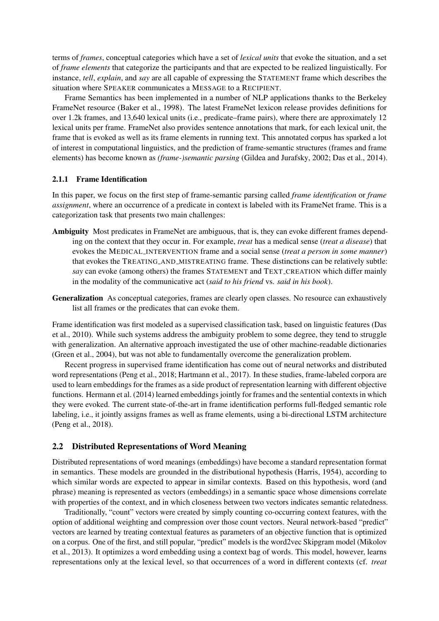terms of *frames*, conceptual categories which have a set of *lexical units* that evoke the situation, and a set of *frame elements* that categorize the participants and that are expected to be realized linguistically. For instance, *tell*, *explain*, and *say* are all capable of expressing the STATEMENT frame which describes the situation where SPEAKER communicates a MESSAGE to a RECIPIENT.

Frame Semantics has been implemented in a number of NLP applications thanks to the Berkeley FrameNet resource (Baker et al., 1998). The latest FrameNet lexicon release provides definitions for over 1.2k frames, and 13,640 lexical units (i.e., predicate–frame pairs), where there are approximately 12 lexical units per frame. FrameNet also provides sentence annotations that mark, for each lexical unit, the frame that is evoked as well as its frame elements in running text. This annotated corpus has sparked a lot of interest in computational linguistics, and the prediction of frame-semantic structures (frames and frame elements) has become known as *(frame-)semantic parsing* (Gildea and Jurafsky, 2002; Das et al., 2014).

#### 2.1.1 Frame Identification

In this paper, we focus on the first step of frame-semantic parsing called *frame identification* or *frame assignment*, where an occurrence of a predicate in context is labeled with its FrameNet frame. This is a categorization task that presents two main challenges:

- Ambiguity Most predicates in FrameNet are ambiguous, that is, they can evoke different frames depending on the context that they occur in. For example, *treat* has a medical sense (*treat a disease*) that evokes the MEDICAL INTERVENTION frame and a social sense (*treat a person in some manner*) that evokes the TREATING AND MISTREATING frame. These distinctions can be relatively subtle: *say* can evoke (among others) the frames STATEMENT and TEXT CREATION which differ mainly in the modality of the communicative act (*said to his friend* vs. *said in his book*).
- Generalization As conceptual categories, frames are clearly open classes. No resource can exhaustively list all frames or the predicates that can evoke them.

Frame identification was first modeled as a supervised classification task, based on linguistic features (Das et al., 2010). While such systems address the ambiguity problem to some degree, they tend to struggle with generalization. An alternative approach investigated the use of other machine-readable dictionaries (Green et al., 2004), but was not able to fundamentally overcome the generalization problem.

Recent progress in supervised frame identification has come out of neural networks and distributed word representations (Peng et al., 2018; Hartmann et al., 2017). In these studies, frame-labeled corpora are used to learn embeddings for the frames as a side product of representation learning with different objective functions. Hermann et al. (2014) learned embeddings jointly for frames and the sentential contexts in which they were evoked. The current state-of-the-art in frame identification performs full-fledged semantic role labeling, i.e., it jointly assigns frames as well as frame elements, using a bi-directional LSTM architecture (Peng et al., 2018).

#### 2.2 Distributed Representations of Word Meaning

Distributed representations of word meanings (embeddings) have become a standard representation format in semantics. These models are grounded in the distributional hypothesis (Harris, 1954), according to which similar words are expected to appear in similar contexts. Based on this hypothesis, word (and phrase) meaning is represented as vectors (embeddings) in a semantic space whose dimensions correlate with properties of the context, and in which closeness between two vectors indicates semantic relatedness.

Traditionally, "count" vectors were created by simply counting co-occurring context features, with the option of additional weighting and compression over those count vectors. Neural network-based "predict" vectors are learned by treating contextual features as parameters of an objective function that is optimized on a corpus. One of the first, and still popular, "predict" models is the word2vec Skipgram model (Mikolov et al., 2013). It optimizes a word embedding using a context bag of words. This model, however, learns representations only at the lexical level, so that occurrences of a word in different contexts (cf. *treat*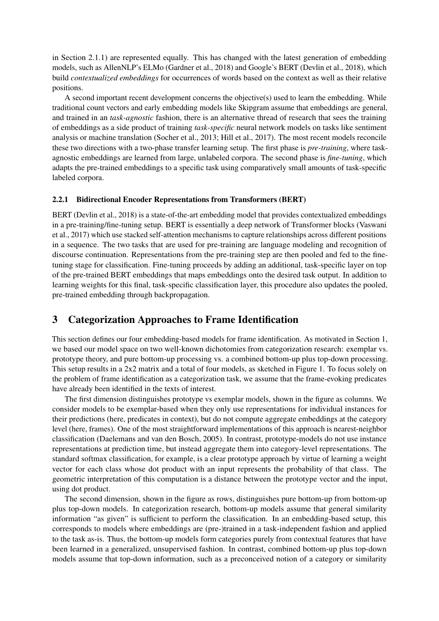in Section 2.1.1) are represented equally. This has changed with the latest generation of embedding models, such as AllenNLP's ELMo (Gardner et al., 2018) and Google's BERT (Devlin et al., 2018), which build *contextualized embeddings* for occurrences of words based on the context as well as their relative positions.

A second important recent development concerns the objective(s) used to learn the embedding. While traditional count vectors and early embedding models like Skipgram assume that embeddings are general, and trained in an *task-agnostic* fashion, there is an alternative thread of research that sees the training of embeddings as a side product of training *task-specific* neural network models on tasks like sentiment analysis or machine translation (Socher et al., 2013; Hill et al., 2017). The most recent models reconcile these two directions with a two-phase transfer learning setup. The first phase is *pre-training*, where taskagnostic embeddings are learned from large, unlabeled corpora. The second phase is *fine-tuning*, which adapts the pre-trained embeddings to a specific task using comparatively small amounts of task-specific labeled corpora.

## 2.2.1 Bidirectional Encoder Representations from Transformers (BERT)

BERT (Devlin et al., 2018) is a state-of-the-art embedding model that provides contextualized embeddings in a pre-training/fine-tuning setup. BERT is essentially a deep network of Transformer blocks (Vaswani et al., 2017) which use stacked self-attention mechanisms to capture relationships across different positions in a sequence. The two tasks that are used for pre-training are language modeling and recognition of discourse continuation. Representations from the pre-training step are then pooled and fed to the finetuning stage for classification. Fine-tuning proceeds by adding an additional, task-specific layer on top of the pre-trained BERT embeddings that maps embeddings onto the desired task output. In addition to learning weights for this final, task-specific classification layer, this procedure also updates the pooled, pre-trained embedding through backpropagation.

# 3 Categorization Approaches to Frame Identification

This section defines our four embedding-based models for frame identification. As motivated in Section 1, we based our model space on two well-known dichotomies from categorization research: exemplar vs. prototype theory, and pure bottom-up processing vs. a combined bottom-up plus top-down processing. This setup results in a 2x2 matrix and a total of four models, as sketched in Figure 1. To focus solely on the problem of frame identification as a categorization task, we assume that the frame-evoking predicates have already been identified in the texts of interest.

The first dimension distinguishes prototype vs exemplar models, shown in the figure as columns. We consider models to be exemplar-based when they only use representations for individual instances for their predictions (here, predicates in context), but do not compute aggregate embeddings at the category level (here, frames). One of the most straightforward implementations of this approach is nearest-neighbor classification (Daelemans and van den Bosch, 2005). In contrast, prototype-models do not use instance representations at prediction time, but instead aggregate them into category-level representations. The standard softmax classification, for example, is a clear prototype approach by virtue of learning a weight vector for each class whose dot product with an input represents the probability of that class. The geometric interpretation of this computation is a distance between the prototype vector and the input, using dot product.

The second dimension, shown in the figure as rows, distinguishes pure bottom-up from bottom-up plus top-down models. In categorization research, bottom-up models assume that general similarity information "as given" is sufficient to perform the classification. In an embedding-based setup, this corresponds to models where embeddings are (pre-)trained in a task-independent fashion and applied to the task as-is. Thus, the bottom-up models form categories purely from contextual features that have been learned in a generalized, unsupervised fashion. In contrast, combined bottom-up plus top-down models assume that top-down information, such as a preconceived notion of a category or similarity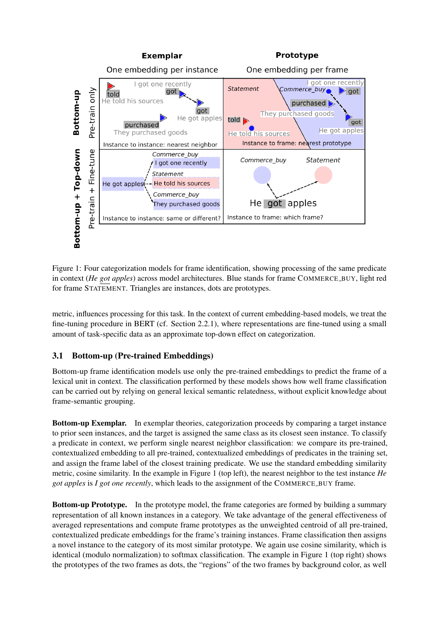

Figure 1: Four categorization models for frame identification, showing processing of the same predicate in context (*He got apples*) across model architectures. Blue stands for frame COMMERCE\_BUY, light red for frame STATEMENT. Triangles are instances, dots are prototypes.

metric, influences processing for this task. In the context of current embedding-based models, we treat the fine-tuning procedure in BERT (cf. Section 2.2.1), where representations are fine-tuned using a small amount of task-specific data as an approximate top-down effect on categorization.

# 3.1 Bottom-up (Pre-trained Embeddings)

Bottom-up frame identification models use only the pre-trained embeddings to predict the frame of a lexical unit in context. The classification performed by these models shows how well frame classification can be carried out by relying on general lexical semantic relatedness, without explicit knowledge about frame-semantic grouping.

Bottom-up Exemplar. In exemplar theories, categorization proceeds by comparing a target instance to prior seen instances, and the target is assigned the same class as its closest seen instance. To classify a predicate in context, we perform single nearest neighbor classification: we compare its pre-trained, contextualized embedding to all pre-trained, contextualized embeddings of predicates in the training set, and assign the frame label of the closest training predicate. We use the standard embedding similarity metric, cosine similarity. In the example in Figure 1 (top left), the nearest neighbor to the test instance *He got apples* is *I got one recently*, which leads to the assignment of the COMMERCE BUY frame.

Bottom-up Prototype. In the prototype model, the frame categories are formed by building a summary representation of all known instances in a category. We take advantage of the general effectiveness of averaged representations and compute frame prototypes as the unweighted centroid of all pre-trained, contextualized predicate embeddings for the frame's training instances. Frame classification then assigns a novel instance to the category of its most similar prototype. We again use cosine similarity, which is identical (modulo normalization) to softmax classification. The example in Figure 1 (top right) shows the prototypes of the two frames as dots, the "regions" of the two frames by background color, as well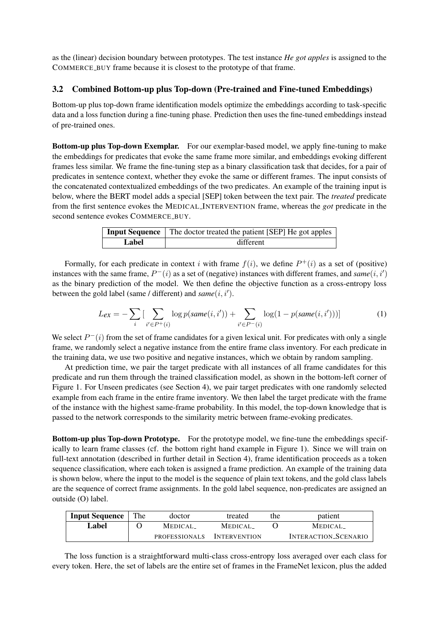as the (linear) decision boundary between prototypes. The test instance *He got apples* is assigned to the COMMERCE BUY frame because it is closest to the prototype of that frame.

## 3.2 Combined Bottom-up plus Top-down (Pre-trained and Fine-tuned Embeddings)

Bottom-up plus top-down frame identification models optimize the embeddings according to task-specific data and a loss function during a fine-tuning phase. Prediction then uses the fine-tuned embeddings instead of pre-trained ones.

Bottom-up plus Top-down Exemplar. For our exemplar-based model, we apply fine-tuning to make the embeddings for predicates that evoke the same frame more similar, and embeddings evoking different frames less similar. We frame the fine-tuning step as a binary classification task that decides, for a pair of predicates in sentence context, whether they evoke the same or different frames. The input consists of the concatenated contextualized embeddings of the two predicates. An example of the training input is below, where the BERT model adds a special [SEP] token between the text pair. The *treated* predicate from the first sentence evokes the MEDICAL INTERVENTION frame, whereas the *got* predicate in the second sentence evokes COMMERCE\_BUY.

|       | <b>Input Sequence</b> The doctor treated the patient [SEP] He got apples |  |  |  |
|-------|--------------------------------------------------------------------------|--|--|--|
| Label | different                                                                |  |  |  |

Formally, for each predicate in context i with frame  $f(i)$ , we define  $P^+(i)$  as a set of (positive) instances with the same frame,  $P^-(i)$  as a set of (negative) instances with different frames, and *same* $(i, i')$ as the binary prediction of the model. We then define the objective function as a cross-entropy loss between the gold label (same / different) and  $\mathit{same}(i, i').$ 

$$
L_{ex} = -\sum_{i} \left[ \sum_{i' \in P^+(i)} \log p(same(i, i')) + \sum_{i' \in P^-(i)} \log(1 - p(same(i, i')))\right]
$$
(1)

We select  $P^{-}(i)$  from the set of frame candidates for a given lexical unit. For predicates with only a single frame, we randomly select a negative instance from the entire frame class inventory. For each predicate in the training data, we use two positive and negative instances, which we obtain by random sampling.

At prediction time, we pair the target predicate with all instances of all frame candidates for this predicate and run them through the trained classification model, as shown in the bottom-left corner of Figure 1. For Unseen predicates (see Section 4), we pair target predicates with one randomly selected example from each frame in the entire frame inventory. We then label the target predicate with the frame of the instance with the highest same-frame probability. In this model, the top-down knowledge that is passed to the network corresponds to the similarity metric between frame-evoking predicates.

Bottom-up plus Top-down Prototype. For the prototype model, we fine-tune the embeddings specifically to learn frame classes (cf. the bottom right hand example in Figure 1). Since we will train on full-text annotation (described in further detail in Section 4), frame identification proceeds as a token sequence classification, where each token is assigned a frame prediction. An example of the training data is shown below, where the input to the model is the sequence of plain text tokens, and the gold class labels are the sequence of correct frame assignments. In the gold label sequence, non-predicates are assigned an outside (O) label.

| <b>Input Sequence</b> | The | doctor                     | treated        | the | patient              |
|-----------------------|-----|----------------------------|----------------|-----|----------------------|
| Label                 |     | <b>MEDICAL</b>             | <b>MEDICAL</b> |     | <b>MEDICAL</b>       |
|                       |     | PROFESSIONALS INTERVENTION |                |     | INTERACTION_SCENARIO |

The loss function is a straightforward multi-class cross-entropy loss averaged over each class for every token. Here, the set of labels are the entire set of frames in the FrameNet lexicon, plus the added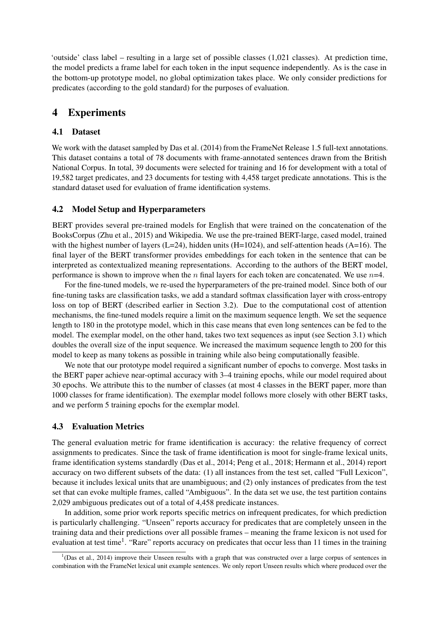'outside' class label – resulting in a large set of possible classes (1,021 classes). At prediction time, the model predicts a frame label for each token in the input sequence independently. As is the case in the bottom-up prototype model, no global optimization takes place. We only consider predictions for predicates (according to the gold standard) for the purposes of evaluation.

# 4 Experiments

## 4.1 Dataset

We work with the dataset sampled by Das et al. (2014) from the FrameNet Release 1.5 full-text annotations. This dataset contains a total of 78 documents with frame-annotated sentences drawn from the British National Corpus. In total, 39 documents were selected for training and 16 for development with a total of 19,582 target predicates, and 23 documents for testing with 4,458 target predicate annotations. This is the standard dataset used for evaluation of frame identification systems.

## 4.2 Model Setup and Hyperparameters

BERT provides several pre-trained models for English that were trained on the concatenation of the BooksCorpus (Zhu et al., 2015) and Wikipedia. We use the pre-trained BERT-large, cased model, trained with the highest number of layers (L=24), hidden units (H=1024), and self-attention heads (A=16). The final layer of the BERT transformer provides embeddings for each token in the sentence that can be interpreted as contextualized meaning representations. According to the authors of the BERT model, performance is shown to improve when the n final layers for each token are concatenated. We use  $n=4$ .

For the fine-tuned models, we re-used the hyperparameters of the pre-trained model. Since both of our fine-tuning tasks are classification tasks, we add a standard softmax classification layer with cross-entropy loss on top of BERT (described earlier in Section 3.2). Due to the computational cost of attention mechanisms, the fine-tuned models require a limit on the maximum sequence length. We set the sequence length to 180 in the prototype model, which in this case means that even long sentences can be fed to the model. The exemplar model, on the other hand, takes two text sequences as input (see Section 3.1) which doubles the overall size of the input sequence. We increased the maximum sequence length to 200 for this model to keep as many tokens as possible in training while also being computationally feasible.

We note that our prototype model required a significant number of epochs to converge. Most tasks in the BERT paper achieve near-optimal accuracy with 3–4 training epochs, while our model required about 30 epochs. We attribute this to the number of classes (at most 4 classes in the BERT paper, more than 1000 classes for frame identification). The exemplar model follows more closely with other BERT tasks, and we perform 5 training epochs for the exemplar model.

## 4.3 Evaluation Metrics

The general evaluation metric for frame identification is accuracy: the relative frequency of correct assignments to predicates. Since the task of frame identification is moot for single-frame lexical units, frame identification systems standardly (Das et al., 2014; Peng et al., 2018; Hermann et al., 2014) report accuracy on two different subsets of the data: (1) all instances from the test set, called "Full Lexicon", because it includes lexical units that are unambiguous; and (2) only instances of predicates from the test set that can evoke multiple frames, called "Ambiguous". In the data set we use, the test partition contains 2,029 ambiguous predicates out of a total of 4,458 predicate instances.

In addition, some prior work reports specific metrics on infrequent predicates, for which prediction is particularly challenging. "Unseen" reports accuracy for predicates that are completely unseen in the training data and their predictions over all possible frames – meaning the frame lexicon is not used for evaluation at test time<sup>1</sup>. "Rare" reports accuracy on predicates that occur less than 11 times in the training

<sup>&</sup>lt;sup>1</sup>(Das et al., 2014) improve their Unseen results with a graph that was constructed over a large corpus of sentences in combination with the FrameNet lexical unit example sentences. We only report Unseen results which where produced over the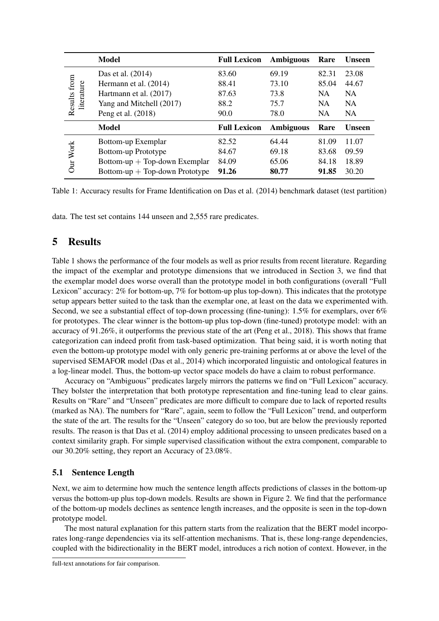|                            | <b>Model</b>                     | <b>Full Lexicon</b> | <b>Ambiguous</b> | Rare      | <b>Unseen</b> |
|----------------------------|----------------------------------|---------------------|------------------|-----------|---------------|
| Results from<br>literature | Das et al. (2014)                | 83.60               | 69.19            | 82.31     | 23.08         |
|                            | Hermann et al. (2014)            | 88.41               | 73.10            | 85.04     | 44.67         |
|                            | Hartmann et al. (2017)           | 87.63               | 73.8             | <b>NA</b> | NA.           |
|                            | Yang and Mitchell (2017)         | 88.2                | 75.7             | <b>NA</b> | <b>NA</b>     |
|                            | Peng et al. (2018)               | 90.0                | 78.0             | NA        | NA            |
|                            | <b>Model</b>                     | <b>Full Lexicon</b> | Ambiguous        | Rare      | Unseen        |
| Our Work                   | Bottom-up Exemplar               | 82.52               | 64.44            | 81.09     | 11.07         |
|                            | Bottom-up Prototype              | 84.67               | 69.18            | 83.68     | 09.59         |
|                            | $Bottom-up + Top-down Exemplar$  | 84.09               | 65.06            | 84.18     | 18.89         |
|                            | Bottom-up $+$ Top-down Prototype | 91.26               | 80.77            | 91.85     | 30.20         |

Table 1: Accuracy results for Frame Identification on Das et al. (2014) benchmark dataset (test partition)

data. The test set contains 144 unseen and 2,555 rare predicates.

# 5 Results

Table 1 shows the performance of the four models as well as prior results from recent literature. Regarding the impact of the exemplar and prototype dimensions that we introduced in Section 3, we find that the exemplar model does worse overall than the prototype model in both configurations (overall "Full Lexicon" accuracy: 2% for bottom-up, 7% for bottom-up plus top-down). This indicates that the prototype setup appears better suited to the task than the exemplar one, at least on the data we experimented with. Second, we see a substantial effect of top-down processing (fine-tuning): 1.5% for exemplars, over 6% for prototypes. The clear winner is the bottom-up plus top-down (fine-tuned) prototype model: with an accuracy of 91.26%, it outperforms the previous state of the art (Peng et al., 2018). This shows that frame categorization can indeed profit from task-based optimization. That being said, it is worth noting that even the bottom-up prototype model with only generic pre-training performs at or above the level of the supervised SEMAFOR model (Das et al., 2014) which incorporated linguistic and ontological features in a log-linear model. Thus, the bottom-up vector space models do have a claim to robust performance.

Accuracy on "Ambiguous" predicates largely mirrors the patterns we find on "Full Lexicon" accuracy. They bolster the interpretation that both prototype representation and fine-tuning lead to clear gains. Results on "Rare" and "Unseen" predicates are more difficult to compare due to lack of reported results (marked as NA). The numbers for "Rare", again, seem to follow the "Full Lexicon" trend, and outperform the state of the art. The results for the "Unseen" category do so too, but are below the previously reported results. The reason is that Das et al. (2014) employ additional processing to unseen predicates based on a context similarity graph. For simple supervised classification without the extra component, comparable to our 30.20% setting, they report an Accuracy of 23.08%.

## 5.1 Sentence Length

Next, we aim to determine how much the sentence length affects predictions of classes in the bottom-up versus the bottom-up plus top-down models. Results are shown in Figure 2. We find that the performance of the bottom-up models declines as sentence length increases, and the opposite is seen in the top-down prototype model.

The most natural explanation for this pattern starts from the realization that the BERT model incorporates long-range dependencies via its self-attention mechanisms. That is, these long-range dependencies, coupled with the bidirectionality in the BERT model, introduces a rich notion of context. However, in the

full-text annotations for fair comparison.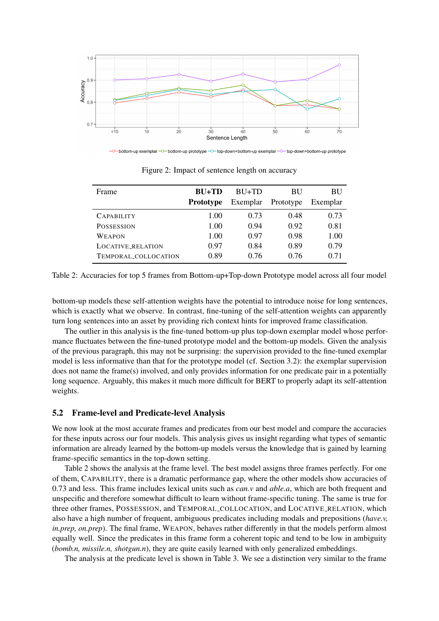

-O-bottom-up exemplar -O- bottom-up prototype -O- top-down+bottom-up exemplar -O- top-down+bottom-up prototype

| Frame                | $BU+TD$          | $RIJ+TD$ | <b>BU</b> | <b>BU</b> |
|----------------------|------------------|----------|-----------|-----------|
|                      | <b>Prototype</b> | Exemplar | Prototype | Exemplar  |
| <b>CAPABILITY</b>    | 1.00             | 0.73     | 0.48      | 0.73      |
| <b>POSSESSION</b>    | 1.00             | 0.94     | 0.92      | 0.81      |
| WEAPON               | 1.00             | 0.97     | 0.98      | 1.00      |
| LOCATIVE_RELATION    | 0.97             | 0.84     | 0.89      | 0.79      |
| TEMPORAL COLLOCATION | 0.89             | 0.76     | 0.76      | 0.71      |

Figure 2: Impact of sentence length on accuracy

Table 2: Accuracies for top 5 frames from Bottom-up+Top-down Prototype model across all four model

bottom-up models these self-attention weights have the potential to introduce noise for long sentences, which is exactly what we observe. In contrast, fine-tuning of the self-attention weights can apparently turn long sentences into an asset by providing rich context hints for improved frame classification.

The outlier in this analysis is the fine-tuned bottom-up plus top-down exemplar model whose performance fluctuates between the fine-tuned prototype model and the bottom-up models. Given the analysis of the previous paragraph, this may not be surprising: the supervision provided to the fine-tuned exemplar model is less informative than that for the prototype model (cf. Section 3.2): the exemplar supervision does not name the frame(s) involved, and only provides information for one predicate pair in a potentially long sequence. Arguably, this makes it much more difficult for BERT to properly adapt its self-attention weights.

#### 5.2 Frame-level and Predicate-level Analysis

We now look at the most accurate frames and predicates from our best model and compare the accuracies for these inputs across our four models. This analysis gives us insight regarding what types of semantic information are already learned by the bottom-up models versus the knowledge that is gained by learning frame-specific semantics in the top-down setting.

Table 2 shows the analysis at the frame level. The best model assigns three frames perfectly. For one of them, CAPABILITY, there is a dramatic performance gap, where the other models show accuracies of 0.73 and less. This frame includes lexical units such as *can.v* and *able.a*, which are both frequent and unspecific and therefore somewhat difficult to learn without frame-specific tuning. The same is true for three other frames, POSSESSION, and TEMPORAL COLLOCATION, and LOCATIVE RELATION, which also have a high number of frequent, ambiguous predicates including modals and prepositions (*have.v, in.prep, on.prep*). The final frame, WEAPON, behaves rather differently in that the models perform almost equally well. Since the predicates in this frame form a coherent topic and tend to be low in ambiguity (*bomb.n, missile.n, shotgun.n*), they are quite easily learned with only generalized embeddings.

The analysis at the predicate level is shown in Table 3. We see a distinction very similar to the frame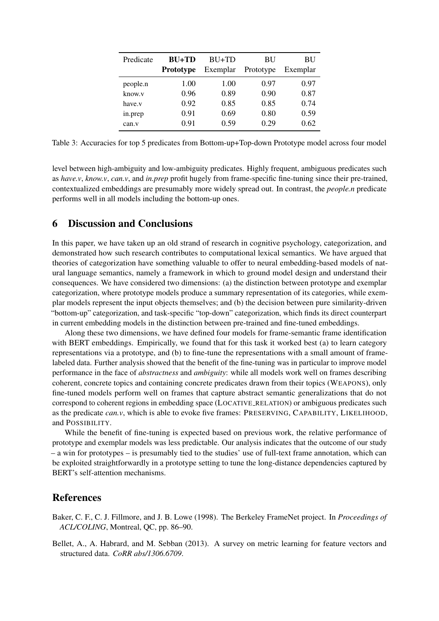| Predicate | $BU+TD$          | $BU+TD$  | BU        | BU       |
|-----------|------------------|----------|-----------|----------|
|           | <b>Prototype</b> | Exemplar | Prototype | Exemplar |
| people.n  | 1.00             | 1.00     | 0.97      | 0.97     |
| know.v    | 0.96             | 0.89     | 0.90      | 0.87     |
| have.v    | 0.92             | 0.85     | 0.85      | 0.74     |
| in.prep   | 0.91             | 0.69     | 0.80      | 0.59     |
| can.v     | 0.91             | 0.59     | 0.29      | 0.62     |

Table 3: Accuracies for top 5 predicates from Bottom-up+Top-down Prototype model across four model

level between high-ambiguity and low-ambiguity predicates. Highly frequent, ambiguous predicates such as *have.v*, *know.v*, *can.v*, and *in.prep* profit hugely from frame-specific fine-tuning since their pre-trained, contextualized embeddings are presumably more widely spread out. In contrast, the *people.n* predicate performs well in all models including the bottom-up ones.

# 6 Discussion and Conclusions

In this paper, we have taken up an old strand of research in cognitive psychology, categorization, and demonstrated how such research contributes to computational lexical semantics. We have argued that theories of categorization have something valuable to offer to neural embedding-based models of natural language semantics, namely a framework in which to ground model design and understand their consequences. We have considered two dimensions: (a) the distinction between prototype and exemplar categorization, where prototype models produce a summary representation of its categories, while exemplar models represent the input objects themselves; and (b) the decision between pure similarity-driven "bottom-up" categorization, and task-specific "top-down" categorization, which finds its direct counterpart in current embedding models in the distinction between pre-trained and fine-tuned embeddings.

Along these two dimensions, we have defined four models for frame-semantic frame identification with BERT embeddings. Empirically, we found that for this task it worked best (a) to learn category representations via a prototype, and (b) to fine-tune the representations with a small amount of framelabeled data. Further analysis showed that the benefit of the fine-tuning was in particular to improve model performance in the face of *abstractness* and *ambiguity*: while all models work well on frames describing coherent, concrete topics and containing concrete predicates drawn from their topics (WEAPONS), only fine-tuned models perform well on frames that capture abstract semantic generalizations that do not correspond to coherent regions in embedding space (LOCATIVE RELATION) or ambiguous predicates such as the predicate *can.v*, which is able to evoke five frames: PRESERVING, CAPABILITY, LIKELIHOOD, and POSSIBILITY.

While the benefit of fine-tuning is expected based on previous work, the relative performance of prototype and exemplar models was less predictable. Our analysis indicates that the outcome of our study – a win for prototypes – is presumably tied to the studies' use of full-text frame annotation, which can be exploited straightforwardly in a prototype setting to tune the long-distance dependencies captured by BERT's self-attention mechanisms.

# References

Baker, C. F., C. J. Fillmore, and J. B. Lowe (1998). The Berkeley FrameNet project. In *Proceedings of ACL/COLING*, Montreal, QC, pp. 86–90.

Bellet, A., A. Habrard, and M. Sebban (2013). A survey on metric learning for feature vectors and structured data. *CoRR abs/1306.6709*.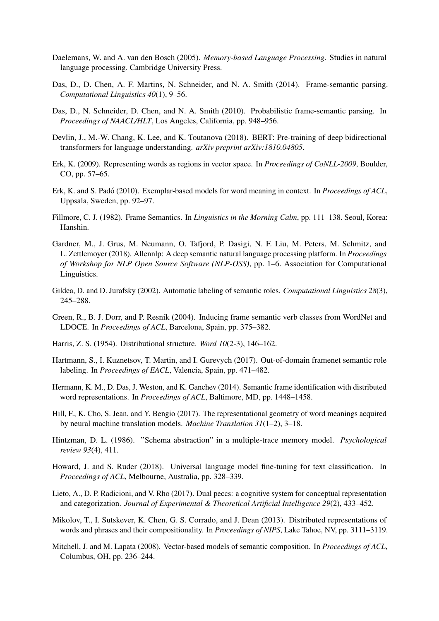- Daelemans, W. and A. van den Bosch (2005). *Memory-based Language Processing*. Studies in natural language processing. Cambridge University Press.
- Das, D., D. Chen, A. F. Martins, N. Schneider, and N. A. Smith (2014). Frame-semantic parsing. *Computational Linguistics 40*(1), 9–56.
- Das, D., N. Schneider, D. Chen, and N. A. Smith (2010). Probabilistic frame-semantic parsing. In *Proceedings of NAACL/HLT*, Los Angeles, California, pp. 948–956.
- Devlin, J., M.-W. Chang, K. Lee, and K. Toutanova (2018). BERT: Pre-training of deep bidirectional transformers for language understanding. *arXiv preprint arXiv:1810.04805*.
- Erk, K. (2009). Representing words as regions in vector space. In *Proceedings of CoNLL-2009*, Boulder, CO, pp. 57–65.
- Erk, K. and S. Padó (2010). Exemplar-based models for word meaning in context. In *Proceedings of ACL*, Uppsala, Sweden, pp. 92–97.
- Fillmore, C. J. (1982). Frame Semantics. In *Linguistics in the Morning Calm*, pp. 111–138. Seoul, Korea: Hanshin.
- Gardner, M., J. Grus, M. Neumann, O. Tafjord, P. Dasigi, N. F. Liu, M. Peters, M. Schmitz, and L. Zettlemoyer (2018). Allennlp: A deep semantic natural language processing platform. In *Proceedings of Workshop for NLP Open Source Software (NLP-OSS)*, pp. 1–6. Association for Computational Linguistics.
- Gildea, D. and D. Jurafsky (2002). Automatic labeling of semantic roles. *Computational Linguistics 28*(3), 245–288.
- Green, R., B. J. Dorr, and P. Resnik (2004). Inducing frame semantic verb classes from WordNet and LDOCE. In *Proceedings of ACL*, Barcelona, Spain, pp. 375–382.
- Harris, Z. S. (1954). Distributional structure. *Word 10*(2-3), 146–162.
- Hartmann, S., I. Kuznetsov, T. Martin, and I. Gurevych (2017). Out-of-domain framenet semantic role labeling. In *Proceedings of EACL*, Valencia, Spain, pp. 471–482.
- Hermann, K. M., D. Das, J. Weston, and K. Ganchev (2014). Semantic frame identification with distributed word representations. In *Proceedings of ACL*, Baltimore, MD, pp. 1448–1458.
- Hill, F., K. Cho, S. Jean, and Y. Bengio (2017). The representational geometry of word meanings acquired by neural machine translation models. *Machine Translation 31*(1–2), 3–18.
- Hintzman, D. L. (1986). "Schema abstraction" in a multiple-trace memory model. *Psychological review 93*(4), 411.
- Howard, J. and S. Ruder (2018). Universal language model fine-tuning for text classification. In *Proceedings of ACL*, Melbourne, Australia, pp. 328–339.
- Lieto, A., D. P. Radicioni, and V. Rho (2017). Dual peccs: a cognitive system for conceptual representation and categorization. *Journal of Experimental & Theoretical Artificial Intelligence 29*(2), 433–452.
- Mikolov, T., I. Sutskever, K. Chen, G. S. Corrado, and J. Dean (2013). Distributed representations of words and phrases and their compositionality. In *Proceedings of NIPS*, Lake Tahoe, NV, pp. 3111–3119.
- Mitchell, J. and M. Lapata (2008). Vector-based models of semantic composition. In *Proceedings of ACL*, Columbus, OH, pp. 236–244.